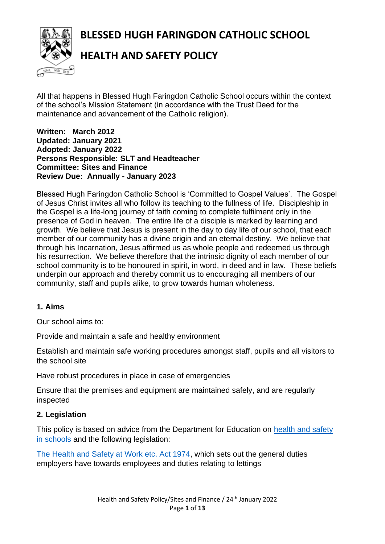**BLESSED HUGH FARINGDON CATHOLIC SCHOOL**



# **HEALTH AND SAFETY POLICY**

All that happens in Blessed Hugh Faringdon Catholic School occurs within the context of the school's Mission Statement (in accordance with the Trust Deed for the maintenance and advancement of the Catholic religion).

#### **Written: March 2012 Updated: January 2021 Adopted: January 2022 Persons Responsible: SLT and Headteacher Committee: Sites and Finance Review Due: Annually - January 2023**

Blessed Hugh Faringdon Catholic School is 'Committed to Gospel Values'. The Gospel of Jesus Christ invites all who follow its teaching to the fullness of life. Discipleship in the Gospel is a life-long journey of faith coming to complete fulfilment only in the presence of God in heaven. The entire life of a disciple is marked by learning and growth. We believe that Jesus is present in the day to day life of our school, that each member of our community has a divine origin and an eternal destiny. We believe that through his Incarnation, Jesus affirmed us as whole people and redeemed us through his resurrection. We believe therefore that the intrinsic dignity of each member of our school community is to be honoured in spirit, in word, in deed and in law. These beliefs underpin our approach and thereby commit us to encouraging all members of our community, staff and pupils alike, to grow towards human wholeness.

#### **1. Aims**

Our school aims to:

Provide and maintain a safe and healthy environment

Establish and maintain safe working procedures amongst staff, pupils and all visitors to the school site

Have robust procedures in place in case of emergencies

Ensure that the premises and equipment are maintained safely, and are regularly inspected

#### **2. Legislation**

This policy is based on advice from the Department for Education on [health and safety](https://www.gov.uk/government/publications/health-and-safety-advice-for-schools)  [in schools](https://www.gov.uk/government/publications/health-and-safety-advice-for-schools) and the following legislation:

[The Health and Safety at Work etc. Act 1974,](http://www.legislation.gov.uk/ukpga/1974/37) which sets out the general duties employers have towards employees and duties relating to lettings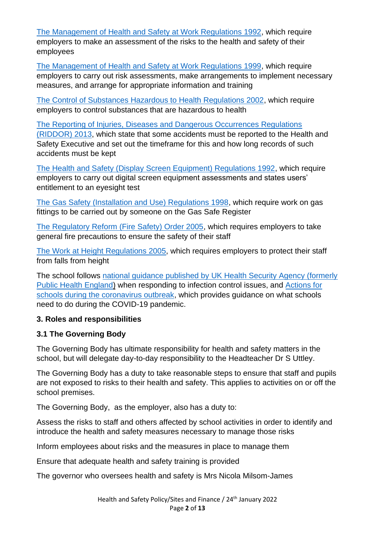[The Management of Health and Safety at Work Regulations 1992,](http://www.legislation.gov.uk/uksi/1992/2051/regulation/3/made) which require employers to make an assessment of the risks to the health and safety of their employees

[The Management of Health and Safety at Work Regulations 1999,](http://www.legislation.gov.uk/uksi/1999/3242/contents/made) which require employers to carry out risk assessments, make arrangements to implement necessary measures, and arrange for appropriate information and training

[The Control of Substances Hazardous to Health Regulations 2002,](http://www.legislation.gov.uk/uksi/2002/2677/contents/made) which require employers to control substances that are hazardous to health

[The Reporting of Injuries, Diseases and Dangerous Occurrences Regulations](http://www.legislation.gov.uk/uksi/2013/1471/schedule/1/paragraph/1/made)  [\(RIDDOR\) 2013,](http://www.legislation.gov.uk/uksi/2013/1471/schedule/1/paragraph/1/made) which state that some accidents must be reported to the Health and Safety Executive and set out the timeframe for this and how long records of such accidents must be kept

[The Health and Safety \(Display Screen Equipment\) Regulations 1992,](http://www.legislation.gov.uk/uksi/1992/2792/contents/made) which require employers to carry out digital screen equipment assessments and states users' entitlement to an eyesight test

[The Gas Safety \(Installation and Use\) Regulations 1998,](http://www.legislation.gov.uk/uksi/1998/2451/regulation/4/made) which require work on gas fittings to be carried out by someone on the Gas Safe Register

[The Regulatory Reform \(Fire Safety\) Order 2005,](http://www.legislation.gov.uk/uksi/2005/1541/part/2/made) which requires employers to take general fire precautions to ensure the safety of their staff

[The Work at Height Regulations 2005,](http://www.legislation.gov.uk/uksi/2005/735/contents/made) which requires employers to protect their staff from falls from height

The school follows [national guidance published by UK Health Security Agency \(formerly](https://www.gov.uk/government/publications/health-protection-in-schools-and-other-childcare-facilities/chapter-9-managing-specific-infectious-diseases)  [Public Health England\)](https://www.gov.uk/government/publications/health-protection-in-schools-and-other-childcare-facilities/chapter-9-managing-specific-infectious-diseases) when responding to infection control issues, and [Actions for](https://www.gov.uk/government/publications/actions-for-schools-during-the-coronavirus-outbreak/schools-covid-19-operational-guidance)  [schools during the coronavirus outbreak,](https://www.gov.uk/government/publications/actions-for-schools-during-the-coronavirus-outbreak/schools-covid-19-operational-guidance) which provides guidance on what schools need to do during the COVID-19 pandemic.

# **3. Roles and responsibilities**

#### **3.1 The Governing Body**

The Governing Body has ultimate responsibility for health and safety matters in the school, but will delegate day-to-day responsibility to the Headteacher Dr S Uttley.

The Governing Body has a duty to take reasonable steps to ensure that staff and pupils are not exposed to risks to their health and safety. This applies to activities on or off the school premises.

The Governing Body, as the employer, also has a duty to:

Assess the risks to staff and others affected by school activities in order to identify and introduce the health and safety measures necessary to manage those risks

Inform employees about risks and the measures in place to manage them

Ensure that adequate health and safety training is provided

The governor who oversees health and safety is Mrs Nicola Milsom-James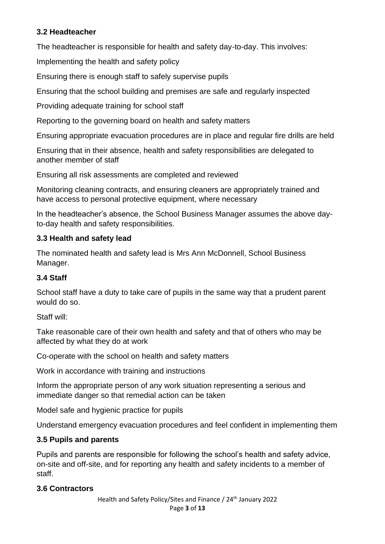## **3.2 Headteacher**

The headteacher is responsible for health and safety day-to-day. This involves:

Implementing the health and safety policy

Ensuring there is enough staff to safely supervise pupils

Ensuring that the school building and premises are safe and regularly inspected

Providing adequate training for school staff

Reporting to the governing board on health and safety matters

Ensuring appropriate evacuation procedures are in place and regular fire drills are held

Ensuring that in their absence, health and safety responsibilities are delegated to another member of staff

Ensuring all risk assessments are completed and reviewed

Monitoring cleaning contracts, and ensuring cleaners are appropriately trained and have access to personal protective equipment, where necessary

In the headteacher's absence, the School Business Manager assumes the above dayto-day health and safety responsibilities.

#### **3.3 Health and safety lead**

The nominated health and safety lead is Mrs Ann McDonnell, School Business Manager.

#### **3.4 Staff**

School staff have a duty to take care of pupils in the same way that a prudent parent would do so.

Staff will:

Take reasonable care of their own health and safety and that of others who may be affected by what they do at work

Co-operate with the school on health and safety matters

Work in accordance with training and instructions

Inform the appropriate person of any work situation representing a serious and immediate danger so that remedial action can be taken

Model safe and hygienic practice for pupils

Understand emergency evacuation procedures and feel confident in implementing them

#### **3.5 Pupils and parents**

Pupils and parents are responsible for following the school's health and safety advice, on-site and off-site, and for reporting any health and safety incidents to a member of staff.

#### **3.6 Contractors**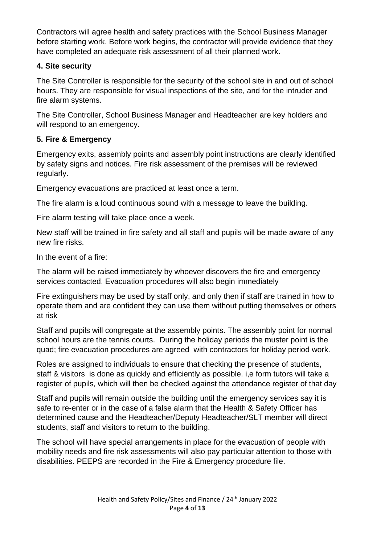Contractors will agree health and safety practices with the School Business Manager before starting work. Before work begins, the contractor will provide evidence that they have completed an adequate risk assessment of all their planned work.

## **4. Site security**

The Site Controller is responsible for the security of the school site in and out of school hours. They are responsible for visual inspections of the site, and for the intruder and fire alarm systems.

The Site Controller, School Business Manager and Headteacher are key holders and will respond to an emergency.

# **5. Fire & Emergency**

Emergency exits, assembly points and assembly point instructions are clearly identified by safety signs and notices. Fire risk assessment of the premises will be reviewed regularly.

Emergency evacuations are practiced at least once a term.

The fire alarm is a loud continuous sound with a message to leave the building.

Fire alarm testing will take place once a week.

New staff will be trained in fire safety and all staff and pupils will be made aware of any new fire risks.

In the event of a fire:

The alarm will be raised immediately by whoever discovers the fire and emergency services contacted. Evacuation procedures will also begin immediately

Fire extinguishers may be used by staff only, and only then if staff are trained in how to operate them and are confident they can use them without putting themselves or others at risk

Staff and pupils will congregate at the assembly points. The assembly point for normal school hours are the tennis courts. During the holiday periods the muster point is the quad; fire evacuation procedures are agreed with contractors for holiday period work.

Roles are assigned to individuals to ensure that checking the presence of students, staff & visitors is done as quickly and efficiently as possible. i,e form tutors will take a register of pupils, which will then be checked against the attendance register of that day

Staff and pupils will remain outside the building until the emergency services say it is safe to re-enter or in the case of a false alarm that the Health & Safety Officer has determined cause and the Headteacher/Deputy Headteacher/SLT member will direct students, staff and visitors to return to the building.

The school will have special arrangements in place for the evacuation of people with mobility needs and fire risk assessments will also pay particular attention to those with disabilities. PEEPS are recorded in the Fire & Emergency procedure file.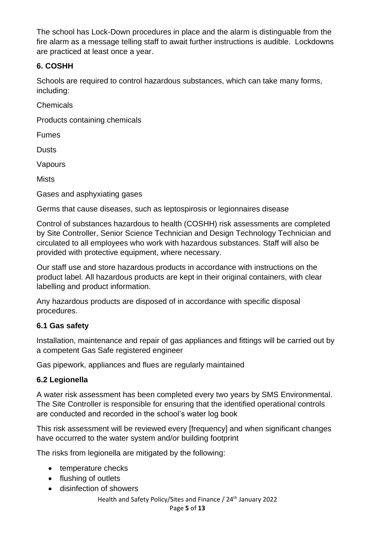The school has Lock-Down procedures in place and the alarm is distinguable from the fire alarm as a message telling staff to await further instructions is audible. Lockdowns are practiced at least once a year.

## **6. COSHH**

Schools are required to control hazardous substances, which can take many forms, including:

Chemicals

Products containing chemicals

Fumes

**Dusts** 

Vapours

**Mists** 

Gases and asphyxiating gases

Germs that cause diseases, such as leptospirosis or legionnaires disease

Control of substances hazardous to health (COSHH) risk assessments are completed by Site Controller, Senior Science Technician and Design Technology Technician and circulated to all employees who work with hazardous substances. Staff will also be provided with protective equipment, where necessary.

Our staff use and store hazardous products in accordance with instructions on the product label. All hazardous products are kept in their original containers, with clear labelling and product information.

Any hazardous products are disposed of in accordance with specific disposal procedures.

# **6.1 Gas safety**

Installation, maintenance and repair of gas appliances and fittings will be carried out by a competent Gas Safe registered engineer

Gas pipework, appliances and flues are regularly maintained

# **6.2 Legionella**

A water risk assessment has been completed every two years by SMS Environmental. The Site Controller is responsible for ensuring that the identified operational controls are conducted and recorded in the school's water log book

This risk assessment will be reviewed every [frequency] and when significant changes have occurred to the water system and/or building footprint

The risks from legionella are mitigated by the following:

- temperature checks
- flushing of outlets
- disinfection of showers

Health and Safety Policy/Sites and Finance / 24<sup>th</sup> January 2022 Page **5** of **13**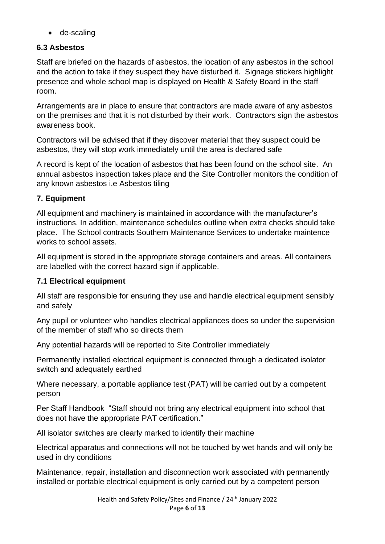• de-scaling

# **6.3 Asbestos**

Staff are briefed on the hazards of asbestos, the location of any asbestos in the school and the action to take if they suspect they have disturbed it. Signage stickers highlight presence and whole school map is displayed on Health & Safety Board in the staff room.

Arrangements are in place to ensure that contractors are made aware of any asbestos on the premises and that it is not disturbed by their work. Contractors sign the asbestos awareness book.

Contractors will be advised that if they discover material that they suspect could be asbestos, they will stop work immediately until the area is declared safe

A record is kept of the location of asbestos that has been found on the school site. An annual asbestos inspection takes place and the Site Controller monitors the condition of any known asbestos i.e Asbestos tiling

# **7. Equipment**

All equipment and machinery is maintained in accordance with the manufacturer's instructions. In addition, maintenance schedules outline when extra checks should take place. The School contracts Southern Maintenance Services to undertake maintence works to school assets.

All equipment is stored in the appropriate storage containers and areas. All containers are labelled with the correct hazard sign if applicable.

# **7.1 Electrical equipment**

All staff are responsible for ensuring they use and handle electrical equipment sensibly and safely

Any pupil or volunteer who handles electrical appliances does so under the supervision of the member of staff who so directs them

Any potential hazards will be reported to Site Controller immediately

Permanently installed electrical equipment is connected through a dedicated isolator switch and adequately earthed

Where necessary, a portable appliance test (PAT) will be carried out by a competent person

Per Staff Handbook "Staff should not bring any electrical equipment into school that does not have the appropriate PAT certification."

All isolator switches are clearly marked to identify their machine

Electrical apparatus and connections will not be touched by wet hands and will only be used in dry conditions

Maintenance, repair, installation and disconnection work associated with permanently installed or portable electrical equipment is only carried out by a competent person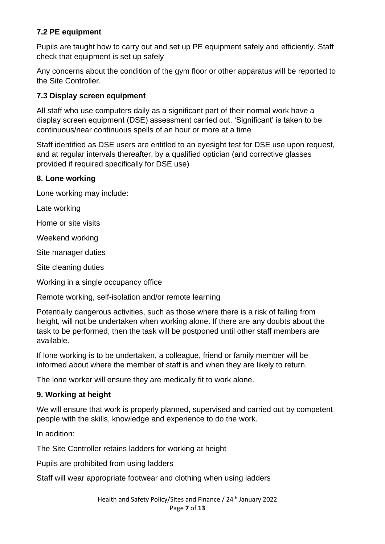## **7.2 PE equipment**

Pupils are taught how to carry out and set up PE equipment safely and efficiently. Staff check that equipment is set up safely

Any concerns about the condition of the gym floor or other apparatus will be reported to the Site Controller.

#### **7.3 Display screen equipment**

All staff who use computers daily as a significant part of their normal work have a display screen equipment (DSE) assessment carried out. 'Significant' is taken to be continuous/near continuous spells of an hour or more at a time

Staff identified as DSE users are entitled to an eyesight test for DSE use upon request, and at regular intervals thereafter, by a qualified optician (and corrective glasses provided if required specifically for DSE use)

#### **8. Lone working**

Lone working may include:

Late working

Home or site visits

Weekend working

Site manager duties

Site cleaning duties

Working in a single occupancy office

Remote working, self-isolation and/or remote learning

Potentially dangerous activities, such as those where there is a risk of falling from height, will not be undertaken when working alone. If there are any doubts about the task to be performed, then the task will be postponed until other staff members are available.

If lone working is to be undertaken, a colleague, friend or family member will be informed about where the member of staff is and when they are likely to return.

The lone worker will ensure they are medically fit to work alone.

#### **9. Working at height**

We will ensure that work is properly planned, supervised and carried out by competent people with the skills, knowledge and experience to do the work.

In addition:

The Site Controller retains ladders for working at height

Pupils are prohibited from using ladders

Staff will wear appropriate footwear and clothing when using ladders

Health and Safety Policy/Sites and Finance / 24<sup>th</sup> January 2022 Page **7** of **13**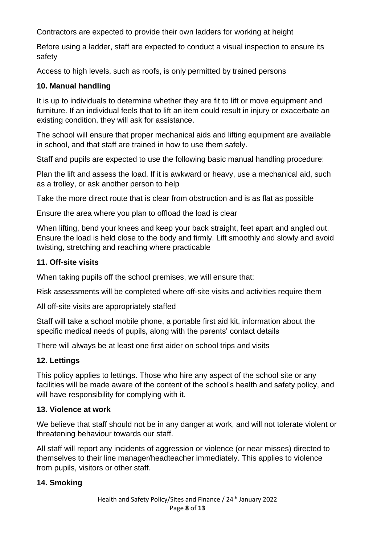Contractors are expected to provide their own ladders for working at height

Before using a ladder, staff are expected to conduct a visual inspection to ensure its safety

Access to high levels, such as roofs, is only permitted by trained persons

## **10. Manual handling**

It is up to individuals to determine whether they are fit to lift or move equipment and furniture. If an individual feels that to lift an item could result in injury or exacerbate an existing condition, they will ask for assistance.

The school will ensure that proper mechanical aids and lifting equipment are available in school, and that staff are trained in how to use them safely.

Staff and pupils are expected to use the following basic manual handling procedure:

Plan the lift and assess the load. If it is awkward or heavy, use a mechanical aid, such as a trolley, or ask another person to help

Take the more direct route that is clear from obstruction and is as flat as possible

Ensure the area where you plan to offload the load is clear

When lifting, bend your knees and keep your back straight, feet apart and angled out. Ensure the load is held close to the body and firmly. Lift smoothly and slowly and avoid twisting, stretching and reaching where practicable

# **11. Off-site visits**

When taking pupils off the school premises, we will ensure that:

Risk assessments will be completed where off-site visits and activities require them

All off-site visits are appropriately staffed

Staff will take a school mobile phone, a portable first aid kit, information about the specific medical needs of pupils, along with the parents' contact details

There will always be at least one first aider on school trips and visits

# **12. Lettings**

This policy applies to lettings. Those who hire any aspect of the school site or any facilities will be made aware of the content of the school's health and safety policy, and will have responsibility for complying with it.

# **13. Violence at work**

We believe that staff should not be in any danger at work, and will not tolerate violent or threatening behaviour towards our staff.

All staff will report any incidents of aggression or violence (or near misses) directed to themselves to their line manager/headteacher immediately. This applies to violence from pupils, visitors or other staff.

# **14. Smoking**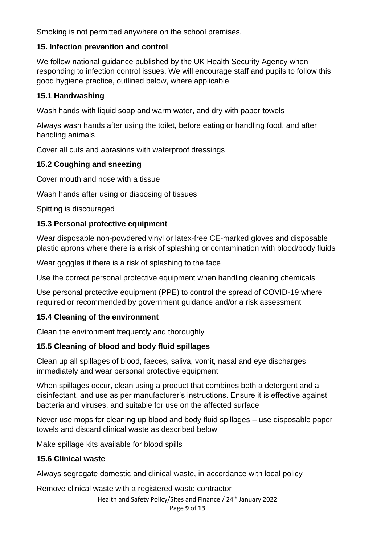Smoking is not permitted anywhere on the school premises.

#### **15. Infection prevention and control**

We follow national guidance published by the UK Health Security Agency when responding to infection control issues. We will encourage staff and pupils to follow this good hygiene practice, outlined below, where applicable.

## **15.1 Handwashing**

Wash hands with liquid soap and warm water, and dry with paper towels

Always wash hands after using the toilet, before eating or handling food, and after handling animals

Cover all cuts and abrasions with waterproof dressings

# **15.2 Coughing and sneezing**

Cover mouth and nose with a tissue

Wash hands after using or disposing of tissues

Spitting is discouraged

# **15.3 Personal protective equipment**

Wear disposable non-powdered vinyl or latex-free CE-marked gloves and disposable plastic aprons where there is a risk of splashing or contamination with blood/body fluids

Wear goggles if there is a risk of splashing to the face

Use the correct personal protective equipment when handling cleaning chemicals

Use personal protective equipment (PPE) to control the spread of COVID-19 where required or recommended by government guidance and/or a risk assessment

# **15.4 Cleaning of the environment**

Clean the environment frequently and thoroughly

# **15.5 Cleaning of blood and body fluid spillages**

Clean up all spillages of blood, faeces, saliva, vomit, nasal and eye discharges immediately and wear personal protective equipment

When spillages occur, clean using a product that combines both a detergent and a disinfectant, and use as per manufacturer's instructions. Ensure it is effective against bacteria and viruses, and suitable for use on the affected surface

Never use mops for cleaning up blood and body fluid spillages – use disposable paper towels and discard clinical waste as described below

Make spillage kits available for blood spills

# **15.6 Clinical waste**

Always segregate domestic and clinical waste, in accordance with local policy

Remove clinical waste with a registered waste contractor

Health and Safety Policy/Sites and Finance / 24<sup>th</sup> January 2022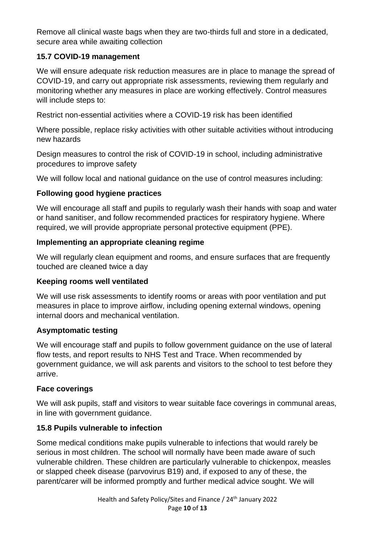Remove all clinical waste bags when they are two-thirds full and store in a dedicated, secure area while awaiting collection

## **15.7 COVID-19 management**

We will ensure adequate risk reduction measures are in place to manage the spread of COVID-19, and carry out appropriate risk assessments, reviewing them regularly and monitoring whether any measures in place are working effectively. Control measures will include steps to:

Restrict non-essential activities where a COVID-19 risk has been identified

Where possible, replace risky activities with other suitable activities without introducing new hazards

Design measures to control the risk of COVID-19 in school, including administrative procedures to improve safety

We will follow local and national guidance on the use of control measures including:

#### **Following good hygiene practices**

We will encourage all staff and pupils to regularly wash their hands with soap and water or hand sanitiser, and follow recommended practices for respiratory hygiene. Where required, we will provide appropriate personal protective equipment (PPE).

#### **Implementing an appropriate cleaning regime**

We will regularly clean equipment and rooms, and ensure surfaces that are frequently touched are cleaned twice a day

#### **Keeping rooms well ventilated**

We will use risk assessments to identify rooms or areas with poor ventilation and put measures in place to improve airflow, including opening external windows, opening internal doors and mechanical ventilation.

#### **Asymptomatic testing**

We will encourage staff and pupils to follow government guidance on the use of lateral flow tests, and report results to NHS Test and Trace. When recommended by government guidance, we will ask parents and visitors to the school to test before they arrive.

#### **Face coverings**

We will ask pupils, staff and visitors to wear suitable face coverings in communal areas, in line with government guidance.

#### **15.8 Pupils vulnerable to infection**

Some medical conditions make pupils vulnerable to infections that would rarely be serious in most children. The school will normally have been made aware of such vulnerable children. These children are particularly vulnerable to chickenpox, measles or slapped cheek disease (parvovirus B19) and, if exposed to any of these, the parent/carer will be informed promptly and further medical advice sought. We will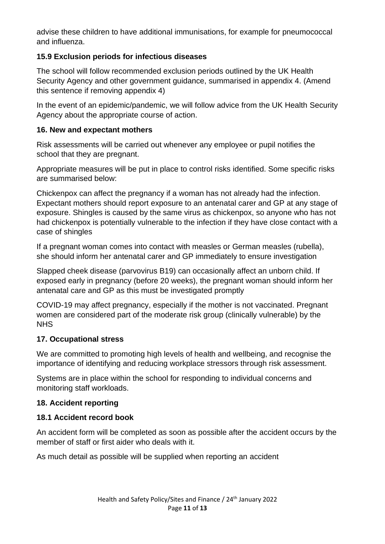advise these children to have additional immunisations, for example for pneumococcal and influenza.

## **15.9 Exclusion periods for infectious diseases**

The school will follow recommended exclusion periods outlined by the UK Health Security Agency and other government guidance, summarised in appendix 4. (Amend this sentence if removing appendix 4)

In the event of an epidemic/pandemic, we will follow advice from the UK Health Security Agency about the appropriate course of action.

#### **16. New and expectant mothers**

Risk assessments will be carried out whenever any employee or pupil notifies the school that they are pregnant.

Appropriate measures will be put in place to control risks identified. Some specific risks are summarised below:

Chickenpox can affect the pregnancy if a woman has not already had the infection. Expectant mothers should report exposure to an antenatal carer and GP at any stage of exposure. Shingles is caused by the same virus as chickenpox, so anyone who has not had chickenpox is potentially vulnerable to the infection if they have close contact with a case of shingles

If a pregnant woman comes into contact with measles or German measles (rubella), she should inform her antenatal carer and GP immediately to ensure investigation

Slapped cheek disease (parvovirus B19) can occasionally affect an unborn child. If exposed early in pregnancy (before 20 weeks), the pregnant woman should inform her antenatal care and GP as this must be investigated promptly

COVID-19 may affect pregnancy, especially if the mother is not vaccinated. Pregnant women are considered part of the moderate risk group (clinically vulnerable) by the **NHS** 

#### **17. Occupational stress**

We are committed to promoting high levels of health and wellbeing, and recognise the importance of identifying and reducing workplace stressors through risk assessment.

Systems are in place within the school for responding to individual concerns and monitoring staff workloads.

# **18. Accident reporting**

# **18.1 Accident record book**

An accident form will be completed as soon as possible after the accident occurs by the member of staff or first aider who deals with it.

As much detail as possible will be supplied when reporting an accident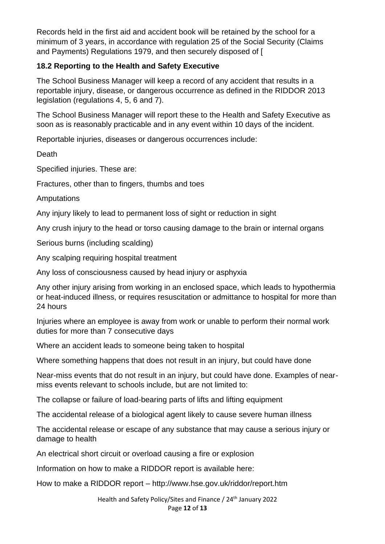Records held in the first aid and accident book will be retained by the school for a minimum of 3 years, in accordance with regulation 25 of the Social Security (Claims and Payments) Regulations 1979, and then securely disposed of [

### **18.2 Reporting to the Health and Safety Executive**

The School Business Manager will keep a record of any accident that results in a reportable injury, disease, or dangerous occurrence as defined in the RIDDOR 2013 legislation (regulations 4, 5, 6 and 7).

The School Business Manager will report these to the Health and Safety Executive as soon as is reasonably practicable and in any event within 10 days of the incident.

Reportable injuries, diseases or dangerous occurrences include:

**Death** 

Specified injuries. These are:

Fractures, other than to fingers, thumbs and toes

**Amputations** 

Any injury likely to lead to permanent loss of sight or reduction in sight

Any crush injury to the head or torso causing damage to the brain or internal organs

Serious burns (including scalding)

Any scalping requiring hospital treatment

Any loss of consciousness caused by head injury or asphyxia

Any other injury arising from working in an enclosed space, which leads to hypothermia or heat-induced illness, or requires resuscitation or admittance to hospital for more than 24 hours

Injuries where an employee is away from work or unable to perform their normal work duties for more than 7 consecutive days

Where an accident leads to someone being taken to hospital

Where something happens that does not result in an injury, but could have done

Near-miss events that do not result in an injury, but could have done. Examples of nearmiss events relevant to schools include, but are not limited to:

The collapse or failure of load-bearing parts of lifts and lifting equipment

The accidental release of a biological agent likely to cause severe human illness

The accidental release or escape of any substance that may cause a serious injury or damage to health

An electrical short circuit or overload causing a fire or explosion

Information on how to make a RIDDOR report is available here:

How to make a RIDDOR report – http://www.hse.gov.uk/riddor/report.htm

Health and Safety Policy/Sites and Finance / 24<sup>th</sup> January 2022 Page **12** of **13**